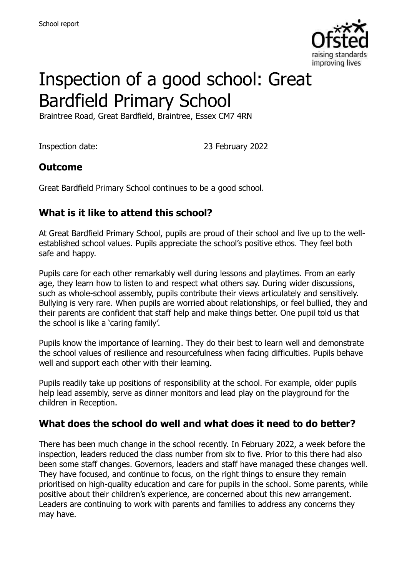

# Inspection of a good school: Great Bardfield Primary School

Braintree Road, Great Bardfield, Braintree, Essex CM7 4RN

Inspection date: 23 February 2022

### **Outcome**

Great Bardfield Primary School continues to be a good school.

# **What is it like to attend this school?**

At Great Bardfield Primary School, pupils are proud of their school and live up to the wellestablished school values. Pupils appreciate the school's positive ethos. They feel both safe and happy.

Pupils care for each other remarkably well during lessons and playtimes. From an early age, they learn how to listen to and respect what others say. During wider discussions, such as whole-school assembly, pupils contribute their views articulately and sensitively. Bullying is very rare. When pupils are worried about relationships, or feel bullied, they and their parents are confident that staff help and make things better. One pupil told us that the school is like a 'caring family'.

Pupils know the importance of learning. They do their best to learn well and demonstrate the school values of resilience and resourcefulness when facing difficulties. Pupils behave well and support each other with their learning.

Pupils readily take up positions of responsibility at the school. For example, older pupils help lead assembly, serve as dinner monitors and lead play on the playground for the children in Reception.

### **What does the school do well and what does it need to do better?**

There has been much change in the school recently. In February 2022, a week before the inspection, leaders reduced the class number from six to five. Prior to this there had also been some staff changes. Governors, leaders and staff have managed these changes well. They have focused, and continue to focus, on the right things to ensure they remain prioritised on high-quality education and care for pupils in the school. Some parents, while positive about their children's experience, are concerned about this new arrangement. Leaders are continuing to work with parents and families to address any concerns they may have.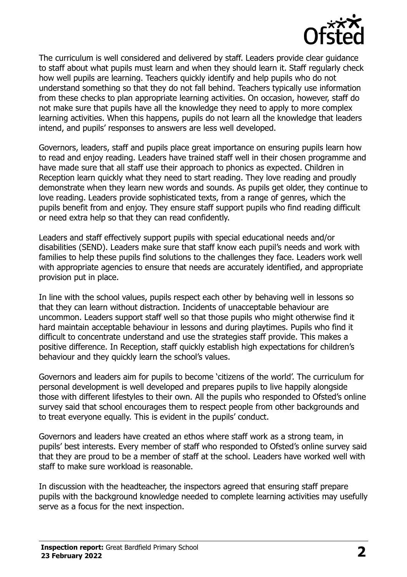

The curriculum is well considered and delivered by staff. Leaders provide clear guidance to staff about what pupils must learn and when they should learn it. Staff regularly check how well pupils are learning. Teachers quickly identify and help pupils who do not understand something so that they do not fall behind. Teachers typically use information from these checks to plan appropriate learning activities. On occasion, however, staff do not make sure that pupils have all the knowledge they need to apply to more complex learning activities. When this happens, pupils do not learn all the knowledge that leaders intend, and pupils' responses to answers are less well developed.

Governors, leaders, staff and pupils place great importance on ensuring pupils learn how to read and enjoy reading. Leaders have trained staff well in their chosen programme and have made sure that all staff use their approach to phonics as expected. Children in Reception learn quickly what they need to start reading. They love reading and proudly demonstrate when they learn new words and sounds. As pupils get older, they continue to love reading. Leaders provide sophisticated texts, from a range of genres, which the pupils benefit from and enjoy. They ensure staff support pupils who find reading difficult or need extra help so that they can read confidently.

Leaders and staff effectively support pupils with special educational needs and/or disabilities (SEND). Leaders make sure that staff know each pupil's needs and work with families to help these pupils find solutions to the challenges they face. Leaders work well with appropriate agencies to ensure that needs are accurately identified, and appropriate provision put in place.

In line with the school values, pupils respect each other by behaving well in lessons so that they can learn without distraction. Incidents of unacceptable behaviour are uncommon. Leaders support staff well so that those pupils who might otherwise find it hard maintain acceptable behaviour in lessons and during playtimes. Pupils who find it difficult to concentrate understand and use the strategies staff provide. This makes a positive difference. In Reception, staff quickly establish high expectations for children's behaviour and they quickly learn the school's values.

Governors and leaders aim for pupils to become 'citizens of the world'. The curriculum for personal development is well developed and prepares pupils to live happily alongside those with different lifestyles to their own. All the pupils who responded to Ofsted's online survey said that school encourages them to respect people from other backgrounds and to treat everyone equally. This is evident in the pupils' conduct.

Governors and leaders have created an ethos where staff work as a strong team, in pupils' best interests. Every member of staff who responded to Ofsted's online survey said that they are proud to be a member of staff at the school. Leaders have worked well with staff to make sure workload is reasonable.

In discussion with the headteacher, the inspectors agreed that ensuring staff prepare pupils with the background knowledge needed to complete learning activities may usefully serve as a focus for the next inspection.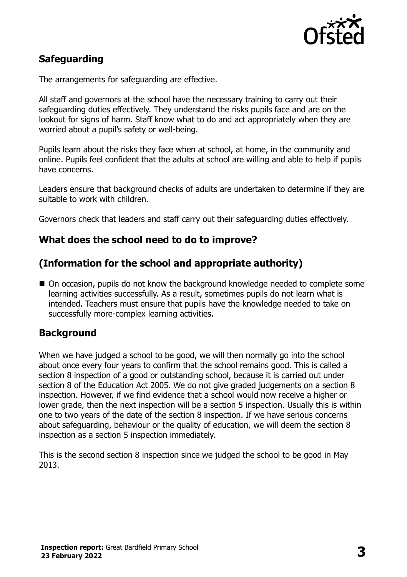

# **Safeguarding**

The arrangements for safeguarding are effective.

All staff and governors at the school have the necessary training to carry out their safeguarding duties effectively. They understand the risks pupils face and are on the lookout for signs of harm. Staff know what to do and act appropriately when they are worried about a pupil's safety or well-being.

Pupils learn about the risks they face when at school, at home, in the community and online. Pupils feel confident that the adults at school are willing and able to help if pupils have concerns.

Leaders ensure that background checks of adults are undertaken to determine if they are suitable to work with children.

Governors check that leaders and staff carry out their safeguarding duties effectively.

# **What does the school need to do to improve?**

# **(Information for the school and appropriate authority)**

■ On occasion, pupils do not know the background knowledge needed to complete some learning activities successfully. As a result, sometimes pupils do not learn what is intended. Teachers must ensure that pupils have the knowledge needed to take on successfully more-complex learning activities.

### **Background**

When we have judged a school to be good, we will then normally go into the school about once every four years to confirm that the school remains good. This is called a section 8 inspection of a good or outstanding school, because it is carried out under section 8 of the Education Act 2005. We do not give graded judgements on a section 8 inspection. However, if we find evidence that a school would now receive a higher or lower grade, then the next inspection will be a section 5 inspection. Usually this is within one to two years of the date of the section 8 inspection. If we have serious concerns about safeguarding, behaviour or the quality of education, we will deem the section 8 inspection as a section 5 inspection immediately.

This is the second section 8 inspection since we judged the school to be good in May 2013.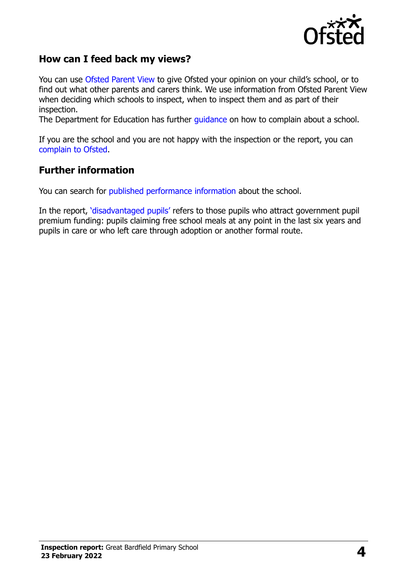

### **How can I feed back my views?**

You can use [Ofsted Parent View](https://parentview.ofsted.gov.uk/) to give Ofsted your opinion on your child's school, or to find out what other parents and carers think. We use information from Ofsted Parent View when deciding which schools to inspect, when to inspect them and as part of their inspection.

The Department for Education has further [guidance](http://www.gov.uk/complain-about-school) on how to complain about a school.

If you are the school and you are not happy with the inspection or the report, you can [complain to Ofsted.](https://www.gov.uk/complain-ofsted-report)

#### **Further information**

You can search for [published performance information](http://www.compare-school-performance.service.gov.uk/) about the school.

In the report, '[disadvantaged pupils](http://www.gov.uk/guidance/pupil-premium-information-for-schools-and-alternative-provision-settings)' refers to those pupils who attract government pupil premium funding: pupils claiming free school meals at any point in the last six years and pupils in care or who left care through adoption or another formal route.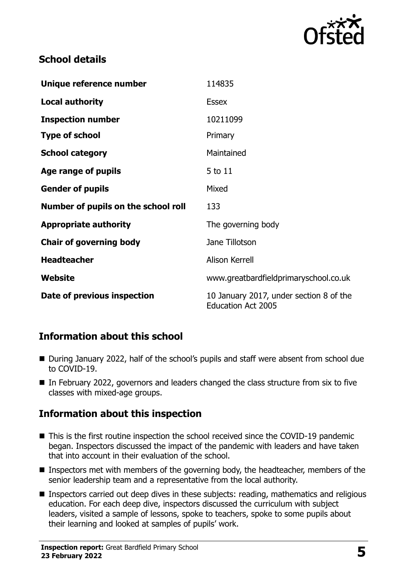

# **School details**

| Unique reference number             | 114835                                                               |
|-------------------------------------|----------------------------------------------------------------------|
| <b>Local authority</b>              | <b>Essex</b>                                                         |
| <b>Inspection number</b>            | 10211099                                                             |
| <b>Type of school</b>               | Primary                                                              |
| <b>School category</b>              | Maintained                                                           |
| Age range of pupils                 | 5 to 11                                                              |
| <b>Gender of pupils</b>             | Mixed                                                                |
| Number of pupils on the school roll | 133                                                                  |
| <b>Appropriate authority</b>        | The governing body                                                   |
| <b>Chair of governing body</b>      | Jane Tillotson                                                       |
| <b>Headteacher</b>                  | <b>Alison Kerrell</b>                                                |
| Website                             | www.greatbardfieldprimaryschool.co.uk                                |
| Date of previous inspection         | 10 January 2017, under section 8 of the<br><b>Education Act 2005</b> |

# **Information about this school**

- During January 2022, half of the school's pupils and staff were absent from school due to COVID-19.
- In February 2022, governors and leaders changed the class structure from six to five classes with mixed-age groups.

# **Information about this inspection**

- This is the first routine inspection the school received since the COVID-19 pandemic began. Inspectors discussed the impact of the pandemic with leaders and have taken that into account in their evaluation of the school.
- Inspectors met with members of the governing body, the headteacher, members of the senior leadership team and a representative from the local authority.
- **Inspectors carried out deep dives in these subjects: reading, mathematics and religious** education. For each deep dive, inspectors discussed the curriculum with subject leaders, visited a sample of lessons, spoke to teachers, spoke to some pupils about their learning and looked at samples of pupils' work.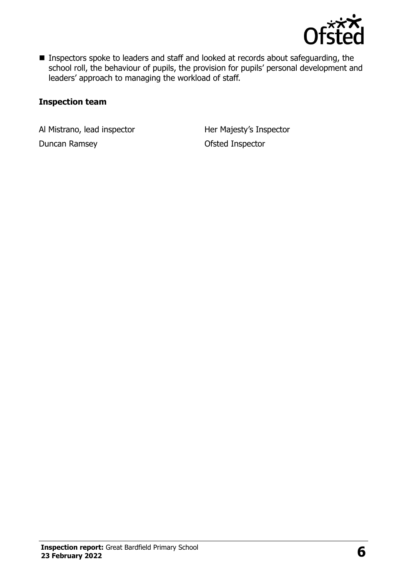

**Inspectors spoke to leaders and staff and looked at records about safeguarding, the** school roll, the behaviour of pupils, the provision for pupils' personal development and leaders' approach to managing the workload of staff.

#### **Inspection team**

Al Mistrano, lead inspector **Her Majesty's Inspector** Duncan Ramsey **Duncan Ramsey Constant Constant Constant Constant Constant Constant Constant Constant Constant Constant Constant Constant Constant Constant Constant Constant Constant Constant Constant Constant Constant Co**